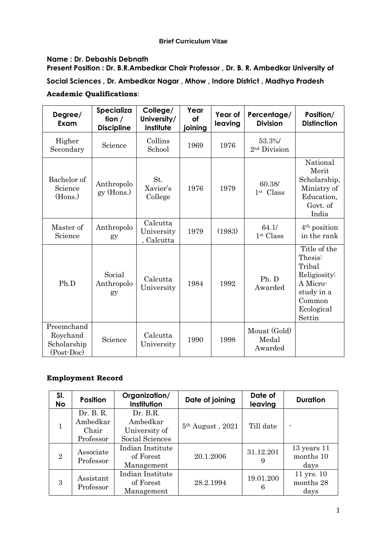## **Brief Curriculum Vitae**

# **Name : Dr. Debashis Debnath**

**Present Position : Dr. B.R.Ambedkar Chair Professor , Dr. B. R. Ambedkar University of Social Sciences , Dr. Ambedkar Nagar , Mhow , Indore District , Madhya Pradesh Academic Qualifications**:

| Degree/<br>Exam                                              | Specializa<br>tion $/$<br><b>Discipline</b> | College/<br>University/<br>Institute | Year<br>of<br>joining | Year of<br>leaving | Percentage/<br><b>Division</b>     | Position/<br><b>Distinction</b>                                                                               |
|--------------------------------------------------------------|---------------------------------------------|--------------------------------------|-----------------------|--------------------|------------------------------------|---------------------------------------------------------------------------------------------------------------|
| Higher<br>Secondary                                          | Science                                     | Collins<br>School                    | 1969                  | 1976               | 53.3%/<br>2 <sup>nd</sup> Division |                                                                                                               |
| Bachelor of<br>Science<br>(Hons.)                            | Anthropolo<br>$gy$ (Hons.)                  | St.<br>Xavier's<br>College           | 1976                  | 1979               | 60.38/<br>$1st$ Class              | National<br>Merit<br>Scholarship,<br>Ministry of<br>Education,<br>Govt. of<br>India                           |
| Master of<br>Science                                         | Anthropolo<br>gy                            | Calcutta<br>University<br>, Calcutta | 1979                  | (1983)             | 64.1/<br>1 <sup>st</sup> Class     | $4th$ position<br>in the rank                                                                                 |
| Ph.D                                                         | Social<br>Anthropolo<br>gy                  | Calcutta<br>University               | 1984                  | 1992               | Ph. D<br>Awarded                   | Title of the<br>Thesis:<br>Tribal<br>Religiosity:<br>A Micro-<br>study in a<br>Common<br>Ecological<br>Settin |
| Preemchand<br>Roychand<br>Scholarship<br>$(Post\text{-}Doc)$ | Science                                     | Calcutta<br>University               | 1990                  | 1998               | Mouat (Gold)<br>Medal<br>Awarded   |                                                                                                               |

## **Employment Record**

| SI.<br><b>No</b> | <b>Position</b>                             | Organization/<br>Institution                             | Date of joining    | Date of<br>leaving | <b>Duration</b>                      |
|------------------|---------------------------------------------|----------------------------------------------------------|--------------------|--------------------|--------------------------------------|
|                  | Dr. B. R.<br>Ambedkar<br>Chair<br>Professor | Dr. B.R.<br>Ambedkar<br>University of<br>Social Sciences | $5th$ August, 2021 | Till date          | ٠                                    |
| $\overline{2}$   | Associate<br>Professor                      | Indian Institute<br>of Forest<br>Management              | 20.1.2006          | 31.12.201<br>9     | $13$ years $11$<br>months 10<br>days |
| 3                | Assistant<br>Professor                      | Indian Institute<br>of Forest<br>Management              | 28.2.1994          | 19.01.200<br>6     | $11$ yrs. $10$<br>months 28<br>days  |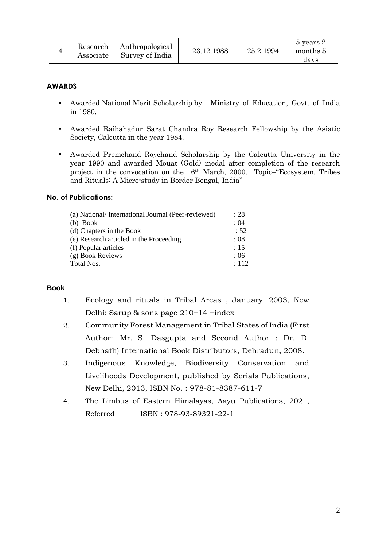|  | Research<br>Associate | Anthropological<br>Survey of India | 23.12.1988 | 25.2.1994 | 5 years 2<br>months 5<br>days |
|--|-----------------------|------------------------------------|------------|-----------|-------------------------------|
|--|-----------------------|------------------------------------|------------|-----------|-------------------------------|

## **AWARDS**

- Awarded National Merit Scholarship by Ministry of Education, Govt. of India in 1980.
- Awarded Raibahadur Sarat Chandra Roy Research Fellowship by the Asiatic Society, Calcutta in the year 1984.
- Awarded Premchand Roychand Scholarship by the Calcutta University in the year 1990 and awarded Mouat (Gold) medal after completion of the research project in the convocation on the 16th March, 2000. Topic–"Ecosystem, Tribes and Rituals: A Micro-study in Border Bengal, India"

# **No. of Publications:**

| (a) National/International Journal (Peer-reviewed) | : 28  |
|----------------------------------------------------|-------|
| $(b)$ Book                                         | : 04  |
| (d) Chapters in the Book                           | : 52  |
| (e) Research articled in the Proceeding            | :08   |
| (f) Popular articles                               | : 15  |
| (g) Book Reviews                                   | : 06  |
| Total Nos.                                         | : 112 |
|                                                    |       |

## **Book**

- 1. Ecology and rituals in Tribal Areas , January 2003, New Delhi: Sarup & sons page 210+14 +index
- 2. Community Forest Management in Tribal States of India (First Author: Mr. S. Dasgupta and Second Author : Dr. D. Debnath) International Book Distributors, Dehradun, 2008.
- 3. Indigenous Knowledge, Biodiversity Conservation and Livelihoods Development, published by Serials Publications, New Delhi, 2013, ISBN No. : 978-81-8387-611-7
- 4. The Limbus of Eastern Himalayas, Aayu Publications, 2021, Referred ISBN : 978-93-89321-22-1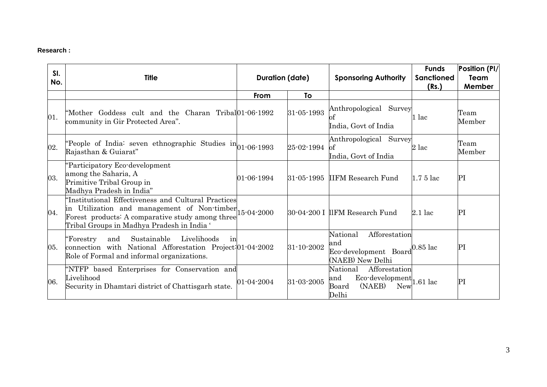# **Research :**

| SI.<br>No. | <b>Title</b>                                                                                                                                                                                                    | <b>Duration (date)</b> |            | <b>Sponsoring Authority</b>                                                                                | <b>Funds</b><br><b>Sanctioned</b><br>(Rs.) | Position (PI/<br>Team<br>Member |
|------------|-----------------------------------------------------------------------------------------------------------------------------------------------------------------------------------------------------------------|------------------------|------------|------------------------------------------------------------------------------------------------------------|--------------------------------------------|---------------------------------|
|            |                                                                                                                                                                                                                 | From                   | To         |                                                                                                            |                                            |                                 |
| 01.        | "Mother Goddess cult and the Charan Tribal01-06-1992<br>community in Gir Protected Area".                                                                                                                       |                        | 31-05-1993 | Anthropological Survey<br>India, Govt of India                                                             | 1 lac                                      | Team<br>Member                  |
| 02.        | People of India: seven ethnographic Studies in 01-06-1993<br>Rajasthan & Guiarat"                                                                                                                               |                        | 25-02-1994 | Anthropological Survey<br>of<br>India, Govt of India                                                       | $2$ lac                                    | Team<br>Member                  |
| 03.        | "Participatory Eco-development<br>among the Saharia, A<br>Primitive Tribal Group in<br>Madhya Pradesh in India"                                                                                                 | 01-06-1994             | 31-05-1995 | <b>IIFM Research Fund</b>                                                                                  | $1.75$ lac                                 | PI                              |
| 04.        | 'Institutional Effectiveness and Cultural Practices<br>in Utilization and management of Non-timber 15-04-2000<br>Forest products: A comparative study among three<br>Tribal Groups in Madhya Pradesh in India ' |                        |            | 30-04-200 I llFM Research Fund                                                                             | $2.1$ lac                                  | PI                              |
| 05.        | Sustainable<br>Livelihoods<br>"Forestry<br>and<br>in<br>connection with National Afforestation Project: 01-04-2002<br>Role of Formal and informal organizations.                                                |                        | 31-10-2002 | Afforestation<br>National<br>and<br>Eco-development Board<br>(NAEB) New Delhi                              | $0.85$ lac                                 | PI                              |
| 06.        | "NTFP based Enterprises for Conservation and<br>Livelihood<br>Security in Dhamtari district of Chattisgarh state.                                                                                               | 01-04-2004             | 31-03-2005 | Afforestation<br>National<br>$Eco$ -development $\vert$ 1.61 lac<br>and<br>(NAEB)<br>Board<br>New<br>Delhi |                                            | PI                              |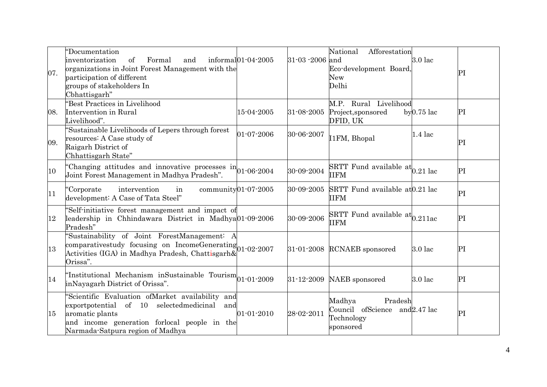| 07. | Documentation<br>inventorization<br>of<br>Formal<br>and<br>organizations in Joint Forest Management with the<br>participation of different<br>groups of stakeholders In<br>Cbhattisgarh"                      | informal $01-04-2005$      | 31-03-2006 | National<br>Afforestation<br>and<br>Eco-development Board,<br>New<br>Delhi     | $3.0$ lac     | PI |
|-----|---------------------------------------------------------------------------------------------------------------------------------------------------------------------------------------------------------------|----------------------------|------------|--------------------------------------------------------------------------------|---------------|----|
| 08. | 'Best Practices in Livelihood<br>Intervention in Rural<br>Livelihood".                                                                                                                                        | 15-04-2005                 | 31-08-2005 | M.P. Rural Livelihood<br>Project, sponsored<br>DFID, UK                        | $by 0.75$ lac | PI |
| 09. | 'Sustainable Livelihoods of Lepers through forest<br>resources: A Case study of<br>Raigarh District of<br>Chhattisgarh State"                                                                                 | 01-07-2006                 | 30-06-2007 | I1FM, Bhopal                                                                   | $1.4$ lac     | PI |
| 10  | Changing attitudes and innovative processes $\text{in}$ 01-06-2004<br>Joint Forest Management in Madhya Pradesh".                                                                                             |                            | 30-09-2004 | $\overline{\text{SRTT}}$ Fund available at $_{0.21}$ lac<br><b>IIFM</b>        |               | PI |
| 11  | Corporate<br>intervention<br>in<br>development: A Case of Tata Steel"                                                                                                                                         | community $01 - 07 - 2005$ | 30-09-2005 | SRTT Fund available at 0.21 lac<br><b>IIFM</b>                                 |               | PI |
| 12  | 'Self-initiative forest management and impact of<br>leadership in Chhindawara District in Madhya01-09-2006<br>Pradesh"                                                                                        |                            | 30-09-2006 | SRTT Fund available $\text{at}^{\dagger}_{0.211}$ ac<br><b>IIFM</b>            |               | PI |
| 13  | 'Sustainability of Joint ForestManagement: A<br>comparativestudy focusing on IncomeGenerating 01-02-2007<br>Activities (IGA) in Madhya Pradesh, Chattisgarh&<br>Orissa".                                      |                            |            | 31-01-2008 RCNAEB sponsored                                                    | $3.0$ lac     | PI |
| 14  | "Institutional Mechanism inSustainable Tourism <sup>1</sup> 01-01-2009<br>inNayagarh District of Orissa".                                                                                                     |                            | 31-12-2009 | NAEB sponsored                                                                 | $3.0$ lac     | PI |
| 15  | 'Scientific Evaluation ofMarket availability and<br>of 10 selected medicinal<br>exportpotential<br>and<br>aromatic plants<br>and income generation forlocal people in the<br>Narmada-Satpura region of Madhya | $01 - 01 - 2010$           | 28-02-2011 | Pradesh<br>Madhya<br>Council ofScience and 2.47 lac<br>Technology<br>sponsored |               | PI |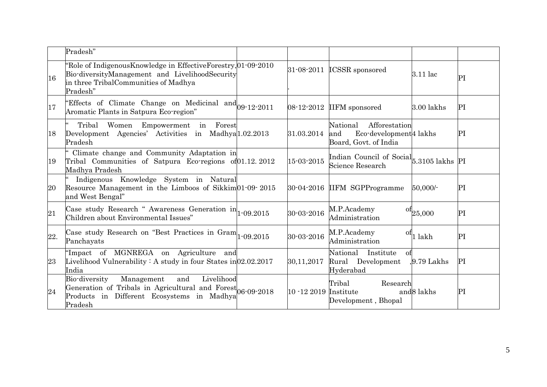|     | Pradesh"                                                                                                                                                                 |                       |                                                                                                 |                                |    |
|-----|--------------------------------------------------------------------------------------------------------------------------------------------------------------------------|-----------------------|-------------------------------------------------------------------------------------------------|--------------------------------|----|
| 16  | Role of Indigenous Knowledge in Effective Forestry, 01-09-2010<br>Bio-diversityManagement and LivelihoodSecurity<br>in three TribalCommunities of Madhya<br>Pradesh"     | 31-08-2011            | <b>ICSSR</b> sponsored                                                                          | 3.11 lac                       | PI |
| 17  | "Effects of Climate Change on Medicinal and 09-12-2011<br>Aromatic Plants in Satpura Eco-region"                                                                         |                       | 08-12-2012 IIFM sponsored                                                                       | 3.00 lakhs                     | PI |
| 18  | Tribal<br>Women Empowerment in Forest<br>Development Agencies' Activities in Madhya 1.02.2013<br>Pradesh                                                                 | 31.03.2014            | Afforestation<br>National<br>Eco-development <sup>4</sup> lakhs<br>and<br>Board, Govt. of India |                                | PI |
| 19  | Climate change and Community Adaptation in<br>Tribal Communities of Satpura Eco-regions of 01.12.2012<br>Madhya Pradesh                                                  | 15-03-2015            | Indian Council of Social 5.3105 lakhs PI<br>Science Research                                    |                                |    |
| 20  | Indigenous Knowledge System in Natural<br>Resource Management in the Limboos of Sikkim01-09-2015<br>and West Bengal"                                                     |                       | 30-04-2016 IIFM SGPProgramme                                                                    | $50,000/-$                     | PI |
| 21  | Case study Research " Awareness Generation $in$ <sup>1</sup> -09.2015<br>Children about Environmental Issues"                                                            | 30-03-2016            | M.P.Academy<br>Administration                                                                   | $\mathrm{ot}^{\rm 1}_{25,000}$ | PI |
| 22. | Case study Research on "Best Practices in $Gram$ <sub>1-09.2015</sub><br>Panchayats                                                                                      | 30-03-2016            | M.P.Academy<br>Ωt<br>Administration                                                             | 1 lakh                         | PI |
| 23  | 'Impact of MGNREGA on Agriculture and<br>Livelihood Vulnerability: A study in four States in $02.02.2017$<br>India                                                       | 30,11,2017            | National Institute<br>of<br>Rural Development<br>Hyderabad                                      | $.9.79$ Lakhs                  | PI |
| 24  | Bio-diversity<br>and<br>Livelihood<br>Management<br>Generation of Tribals in Agricultural and Forest 06-09-2018<br>Products in Different Ecosystems in Madhya<br>Pradesh | 10 -12 2019 Institute | Tribal<br>Research<br>Development, Bhopal                                                       | and <sub>8</sub> lakhs         | PI |